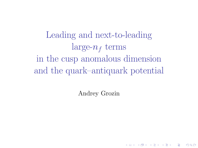Leading and next-to-leading  $\text{large-}n_f$  terms in the cusp anomalous dimension and the quark–antiquark potential

Andrey Grozin

**K ロ ▶ K 레 ▶ K 코 ▶ K 코 ▶ 『코』 ◆ 9 Q OK**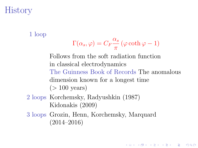# **History**

1 loop

$$
\Gamma(\alpha_s, \varphi) = C_F \frac{\alpha_s}{\pi} (\varphi \coth \varphi - 1)
$$

Follows from the soft radiation function in classical electrodynamics The Guinness Book of Records The anomalous dimension known for a longest time  $(>100 \text{ years})$ 

**A DIA 4 B A DIA A B A DIA 4 DIA A DIA B** 

- 2 loops Korchemsky, Radyushkin (1987) Kidonakis (2009)
- 3 loops Grozin, Henn, Korchemsky, Marquard (2014–2016)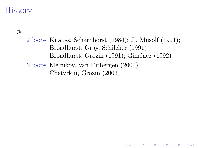# **History**

 $\gamma_h$ 

2 loops Knauss, Scharnhorst (1984); Ji, Musolf (1991); Broadhurst, Gray, Schilcher (1991) Broadhurst, Grozin (1991); Giménez (1992) 3 loops Melnikov, van Ritbergen (2000) Chetyrkin, Grozin (2003)

**KOR & KERKER ADA KON**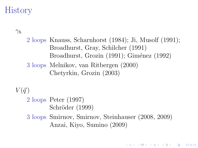# History

 $\gamma_h$ 

2 loops Knauss, Scharnhorst (1984); Ji, Musolf (1991); Broadhurst, Gray, Schilcher (1991) Broadhurst, Grozin (1991); Giménez (1992) 3 loops Melnikov, van Ritbergen (2000) Chetyrkin, Grozin (2003)

 $V(\vec{q})$ 

2 loops Peter (1997) Schröder (1999)

3 loops Smirnov, Smirnov, Steinhauser (2008, 2009) Anzai, Kiyo, Sumino (2009)

**KOR & KERKER ADA KON**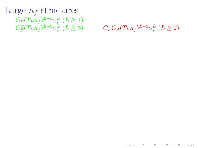Large  $n_f$  structures  $C_F(T_F n_f)^{L-1} \alpha_s^L \ (L \geq 1)$  $C_F^2(T_F n_f)^{L-2} \alpha_s^L \ (L \ge 3)$ 

 $C_F C_A (T_F n_f)^{L-2} \alpha_s^L \ (L \geq 2)$ 

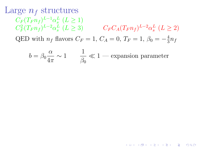Large  $n_f$  structures  $C_F(T_F n_f)^{L-1} \alpha_s^L \ (L \geq 1)$  $C_F^2 (T_F n_f)^{L-2} \alpha_s^L$  $(L \ge 3)$   $C_F C_A (T_F n_f)^{L-2} \alpha_s^L (L \ge 2)$ QED with  $n_f$  flavors  $C_F = 1, C_A = 0, T_F = 1, \beta_0 = -\frac{4}{3}$  $rac{4}{3}n_f$ 

$$
b = \beta_0 \frac{\alpha}{4\pi} \sim 1 \qquad \frac{1}{\beta_0} \ll 1
$$
—expansion parameter

**KOD START KED KEN EL VAN**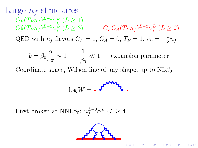Large  $n_f$  structures  $C_F(T_F n_f)^{L-1} \alpha_s^L \ (L \geq 1)$  $C_F^2 (T_F n_f)^{L-2} \alpha_s^L$  $(L \ge 3)$   $C_F C_A (T_F n_f)^{L-2} \alpha_s^L (L \ge 2)$ QED with  $n_f$  flavors  $C_F = 1, C_A = 0, T_F = 1, \beta_0 = -\frac{4}{3}$  $rac{4}{3}n_f$ 

$$
b = \beta_0 \frac{\alpha}{4\pi} \sim 1 \qquad \frac{1}{\beta_0} \ll 1
$$
—expansion parameter

Coordinate space, Wilson line of any shape, up to  $NL\beta_0$ 

$$
\log W = \frac{\mathbf{r}^{\mathbf{m}\mathbf{m}}\mathbf{r}}{2}
$$

First broken at NNL $\beta_0$ :  $n_f^{L-3} \alpha^L$  ( $L \ge 4$ )



**A DIA K RIA K E A K RIA K L A SA K A L A SA CA**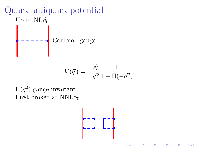

$$
V(\vec{q}) = -\frac{e_0^2}{\vec{q}^2} \frac{1}{1 - \Pi(-\vec{q}^2)}
$$

 $\Pi(q^2)$  gauge invariant First broken at  $NNL\beta_0$ 



 $(1 - 4)$   $(1 - 4)$   $(1 - 4)$   $(1 - 4)$   $(1 - 4)$   $(1 - 4)$   $(1 - 4)$   $(1 - 4)$   $(1 - 4)$   $(1 - 4)$   $(1 - 4)$   $(1 - 4)$   $(1 - 4)$   $(1 - 4)$   $(1 - 4)$   $(1 - 4)$   $(1 - 4)$   $(1 - 4)$   $(1 - 4)$   $(1 - 4)$   $(1 - 4)$   $(1 - 4)$   $(1 - 4)$   $(1 - 4)$   $(1 -$ 

 $\Rightarrow$ 

 $2990$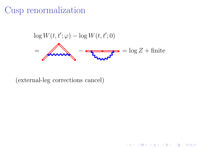## Cusp renormalization

$$
\log W(t, t'; \varphi) - \log W(t, t'; 0)
$$
\n
$$
= \sqrt{\log W(t, t'; 0)}
$$
\n
$$
= \log Z + \text{finite}
$$

**K ロ ▶ K 레 ▶ K 코 ▶ K 코 ▶ 『코』 ◆ 9 Q OK** 

(external-leg corrections cancel)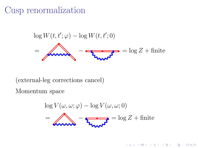## Cusp renormalization

$$
\log W(t, t'; \varphi) - \log W(t, t'; 0)
$$
\n
$$
= \sqrt{\log W(t, t'; 0)}
$$
\n
$$
= \log Z + \text{finite}
$$

(external-leg corrections cancel)

Momentum space

$$
\log V(\omega, \omega; \varphi) - \log V(\omega, \omega; 0)
$$
  
= **Answer**  $\sqrt{2\pi\omega^2}$  = log Z + finite

K ロ ▶ K 個 ▶ K 할 ▶ K 할 ▶ 이 할 → 900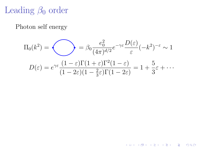# Leading  $\beta_0$  order

Photon self energy

$$
\Pi_0(k^2) = \bigotimes_{\substack{\sigma \in \mathbb{G} \\ D(\varepsilon) = e^{\gamma \varepsilon} \frac{(1-\varepsilon)\Gamma(1+\varepsilon)\Gamma^2(1-\varepsilon)}{(1-2\varepsilon)(1-\frac{2}{3}\varepsilon)\Gamma(1-2\varepsilon)}} = 1 + \frac{5}{3}\varepsilon + \cdots
$$

K ロ ▶ K 御 ▶ K 할 ▶ K 할 ▶ ① 할 → ① 의 ①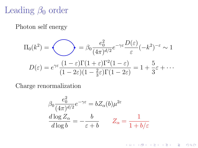## Leading  $\beta_0$  order

Photon self energy

$$
\Pi_0(k^2) = \bigotimes_{\sigma_0(k^2) \in \mathbb{R}^2} \beta_0 \frac{e_0^2}{(4\pi)^{d/2}} e^{-\gamma \varepsilon} \frac{D(\varepsilon)}{\varepsilon} (-k^2)^{-\varepsilon} \sim 1
$$

$$
D(\varepsilon) = e^{\gamma \varepsilon} \frac{(1-\varepsilon)\Gamma(1+\varepsilon)\Gamma^2(1-\varepsilon)}{(1-2\varepsilon)(1-\frac{2}{3}\varepsilon)\Gamma(1-2\varepsilon)} = 1 + \frac{5}{3}\varepsilon + \cdots
$$

Charge renormalization

$$
\beta_0 \frac{e_0^2}{(4\pi)^{d/2}} e^{-\gamma \varepsilon} = bZ_\alpha(b)\mu^{2\varepsilon}
$$

$$
\frac{d \log Z_\alpha}{d \log b} = -\frac{b}{\varepsilon + b} \qquad Z_\alpha = \frac{1}{1 + b/\varepsilon}
$$

K ロ ▶ K 個 ▶ K 할 ▶ K 할 ▶ 이 할 → 900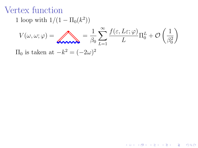## Vertex function

1 loop with  $1/(1 - \Pi_0(k^2))$ 

$$
V(\omega, \omega; \varphi) = \sum_{\beta_0} \sum_{L=1}^{\infty} \frac{f(\varepsilon, L\varepsilon; \varphi)}{L} \Pi_0^L + \mathcal{O}\left(\frac{1}{\beta_0^2}\right)
$$

K □ ▶ K @ ▶ K 할 X K 할 X 1 할 X 1 9 Q Q \*

 $\Pi_0$  is taken at  $-k^2 = (-2\omega)^2$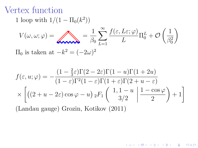#### Vertex function

1 loop with  $1/(1 - \Pi_0(k^2))$ 

$$
V(\omega, \omega; \varphi) = \sum_{L=1}^{\infty} \sum_{L=1}^{\infty} \frac{f(\varepsilon, L\varepsilon; \varphi)}{L} \Pi_0^L + \mathcal{O}\left(\frac{1}{\beta_0^2}\right)
$$

 $\Pi_0$  is taken at  $-k^2 = (-2\omega)^2$ 

$$
f(\varepsilon, u; \varphi) = -\frac{(1 - \frac{2}{3}\varepsilon)\Gamma(2 - 2\varepsilon)\Gamma(1 - u)\Gamma(1 + 2u)}{(1 - \varepsilon)\Gamma^2(1 - \varepsilon)\Gamma(1 + \varepsilon)\Gamma(2 + u - \varepsilon)}
$$
  
 
$$
\times \left[ \left( (2 + u - 2\varepsilon)\cos\varphi - u \right) {}_{2}F_{1} \left( \begin{array}{c} 1, 1 - u \\ 3/2 \end{array} \left| \frac{1 - \cos\varphi}{2} \right) + 1 \right]
$$

K ロ ▶ K 個 ▶ K 할 ▶ K 할 ▶ 이 할 → 900

(Landau gauge) Grozin, Kotikov (2011)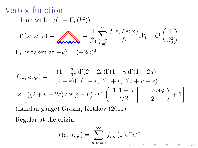## Vertex function

1 loop with  $1/(1 - \Pi_0(k^2))$ 

$$
V(\omega, \omega; \varphi) = \sum_{\beta_0} \sum_{L=1}^{\infty} \frac{f(\varepsilon, L\varepsilon; \varphi)}{L} \Pi_0^L + \mathcal{O}\left(\frac{1}{\beta_0^2}\right)
$$

 $\Pi_0$  is taken at  $-k^2 = (-2\omega)^2$ 

$$
f(\varepsilon, u; \varphi) = -\frac{(1 - \frac{2}{3}\varepsilon)\Gamma(2 - 2\varepsilon)\Gamma(1 - u)\Gamma(1 + 2u)}{(1 - \varepsilon)\Gamma^2(1 - \varepsilon)\Gamma(1 + \varepsilon)\Gamma(2 + u - \varepsilon)}
$$
  
 
$$
\times \left[ \left( (2 + u - 2\varepsilon)\cos\varphi - u \right) {}_{2}F_{1} \left( \begin{array}{c} 1, 1 - u \\ 3/2 \end{array} \left| \frac{1 - \cos\varphi}{2} \right) + 1 \right]
$$

(Landau gauge) Grozin, Kotikov (2011)

Regular at the origin

$$
f(\varepsilon, u; \varphi) = \sum_{n,m=0}^{\infty} f_{nm}(\varphi) \varepsilon^n u^m
$$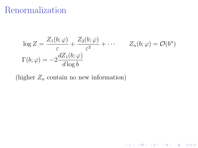#### Renormalization

$$
\log Z = \frac{Z_1(b; \varphi)}{\varepsilon} + \frac{Z_2(b; \varphi)}{\varepsilon^2} + \cdots \qquad Z_n(b; \varphi) = \mathcal{O}(b^n)
$$

$$
\Gamma(b; \varphi) = -2 \frac{dZ_1(b; \varphi)}{d \log b}
$$

K □ ▶ K @ ▶ K 할 ▶ K 할 ▶ 이 할 → 9 Q @

(higher  $Z_n$  contain no new information)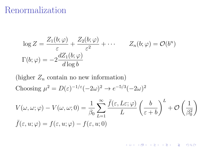#### Renormalization

$$
\log Z = \frac{Z_1(b; \varphi)}{\varepsilon} + \frac{Z_2(b; \varphi)}{\varepsilon^2} + \cdots \qquad Z_n(b; \varphi) = \mathcal{O}(b^n)
$$

$$
\Gamma(b; \varphi) = -2 \frac{dZ_1(b; \varphi)}{d \log b}
$$

(higher  $Z_n$  contain no new information) Choosing  $\mu^2 = D(\varepsilon)^{-1/\varepsilon}(-2\omega)^2 \to e^{-5/3}(-2\omega)^2$ 

$$
V(\omega, \omega; \varphi) - V(\omega, \omega; 0) = \frac{1}{\beta_0} \sum_{L=1}^{\infty} \frac{\bar{f}(\varepsilon, L\varepsilon; \varphi)}{L} \left(\frac{b}{\varepsilon + b}\right)^L + \mathcal{O}\left(\frac{1}{\beta_0^2}\right)
$$

$$
\bar{f}(\varepsilon, u; \varphi) = f(\varepsilon, u; \varphi) - f(\varepsilon, u; 0)
$$

**K ロ ▶ K 레 ▶ K 코 ▶ K 코 ▶ 『코』 ◆ 9 Q OK**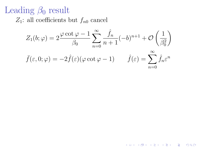## Leading  $\beta_0$  result

 $Z_1$ : all coefficients but  $f_{n0}$  cancel

$$
Z_1(b; \varphi) = 2 \frac{\varphi \cot \varphi - 1}{\beta_0} \sum_{n=0}^{\infty} \frac{\hat{f}_n}{n+1} (-b)^{n+1} + \mathcal{O}\left(\frac{1}{\beta_0^2}\right)
$$

$$
\bar{f}(\varepsilon, 0; \varphi) = -2 \hat{f}(\varepsilon) (\varphi \cot \varphi - 1) \qquad \hat{f}(\varepsilon) = \sum_{n=0}^{\infty} \hat{f}_n \varepsilon^n
$$

**K ロ ▶ K 레 ▶ K 코 ▶ K 코 ▶ 『코』 ◆ 9 Q O**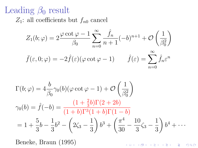#### Leading  $\beta_0$  result

 $Z_1$ : all coefficients but  $f_{n0}$  cancel

$$
Z_1(b; \varphi) = 2 \frac{\varphi \cot \varphi - 1}{\beta_0} \sum_{n=0}^{\infty} \frac{\hat{f}_n}{n+1} (-b)^{n+1} + \mathcal{O}\left(\frac{1}{\beta_0^2}\right)
$$

$$
\bar{f}(\varepsilon, 0; \varphi) = -2 \hat{f}(\varepsilon) (\varphi \cot \varphi - 1) \qquad \hat{f}(\varepsilon) = \sum_{n=0}^{\infty} \hat{f}_n \varepsilon^n
$$

$$
\bar{f}(\varepsilon, 0; \varphi) = -2\hat{f}(\varepsilon)(\varphi \cot \varphi - 1) \qquad \hat{f}(\varepsilon) = \sum_{n=0} \hat{f}_n \varepsilon^n
$$

$$
\Gamma(b; \varphi) = 4 \frac{b}{\beta_0} \gamma_0(b) (\varphi \cot \varphi - 1) + \mathcal{O}\left(\frac{1}{\beta_0^2}\right)
$$
  

$$
\gamma_0(b) = \hat{f}(-b) = \frac{(1 + \frac{2}{3}b)\Gamma(2 + 2b)}{(1 + b)\Gamma^3(1 + b)\Gamma(1 - b)}
$$
  

$$
= 1 + \frac{5}{3}b - \frac{1}{3}b^2 - \left(2\zeta_3 - \frac{1}{3}\right)b^3 + \left(\frac{\pi^4}{30} - \frac{10}{3}\zeta_3 - \frac{1}{3}\right)b^4 + \cdots
$$

Beneke, Braun (1995)

**K ロ ▶ K 레 ▶ K 코 ▶ K 코 ▶ 『코』 ◆ 9 Q OK**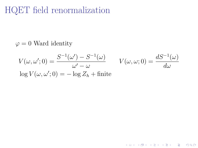# HQET field renormalization

#### $\varphi = 0$  Ward identity

$$
V(\omega, \omega'; 0) = \frac{S^{-1}(\omega') - S^{-1}(\omega)}{\omega' - \omega} \qquad V(\omega, \omega; 0) = \frac{dS^{-1}(\omega)}{d\omega}
$$
  
log  $V(\omega, \omega'; 0) = -\log Z_h + \text{finite}$ 

K □ ▶ K @ ▶ K 할 ▶ K 할 ▶ 이 할 → 9 Q @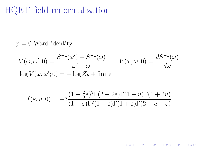# HQET field renormalization

#### $\varphi = 0$  Ward identity

$$
V(\omega, \omega'; 0) = \frac{S^{-1}(\omega') - S^{-1}(\omega)}{\omega' - \omega} \qquad V(\omega, \omega; 0) = \frac{dS^{-1}(\omega)}{d\omega}
$$
  
log  $V(\omega, \omega'; 0) = -\log Z_h + \text{finite}$ 

$$
f(\varepsilon, u; 0) = -3 \frac{(1 - \frac{2}{3}\varepsilon)^2 \Gamma(2 - 2\varepsilon) \Gamma(1 - u) \Gamma(1 + 2u)}{(1 - \varepsilon)\Gamma(1 - \varepsilon)\Gamma(1 + \varepsilon)\Gamma(2 + u - \varepsilon)}
$$

K □ ▶ K @ ▶ K 할 ▶ K 할 ▶ 이 할 → 9 Q @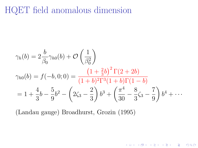#### HQET field anomalous dimension

$$
\gamma_h(b) = 2 \frac{b}{\beta_0} \gamma_{h0}(b) + \mathcal{O}\left(\frac{1}{\beta_0^2}\right)
$$
  

$$
\gamma_{h0}(b) = f(-b, 0; 0) = \frac{\left(1 + \frac{2}{3}b\right)^2 \Gamma(2 + 2b)}{(1 + b)^2 \Gamma^3 (1 + b) \Gamma(1 - b)}
$$
  

$$
= 1 + \frac{4}{3}b - \frac{5}{9}b^2 - \left(2\zeta_3 - \frac{2}{3}\right)b^3 + \left(\frac{\pi^4}{30} - \frac{8}{3}\zeta_3 - \frac{7}{9}\right)b^4 + \cdots
$$

K □ ▶ K @ ▶ K 할 X K 할 X 1 할 X 1 9 Q Q \*

(Landau gauge) Broadhurst, Grozin (1995)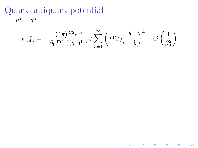Quark-antiquark potential  $\mu^2 = \vec{q}^{\,2}$ 

$$
V(\vec{q}) = -\frac{(4\pi)^{d/2}e^{\gamma \varepsilon}}{\beta_0 D(\varepsilon)(\vec{q}^2)^{1-\varepsilon}} \varepsilon \sum_{L=1}^{\infty} \left( D(\varepsilon) \frac{b}{\varepsilon+b} \right)^L + \mathcal{O}\left(\frac{1}{\beta_0^2}\right)
$$

K ロ ▶ K 레 ≯ K 제공 → K 공 → X 9 Q Q Q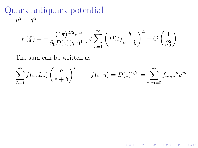Quark-antiquark potential  $\mu^2 = \vec{q}^{\,2}$ 

$$
V(\vec{q}) = -\frac{(4\pi)^{d/2}e^{\gamma \varepsilon}}{\beta_0 D(\varepsilon)(\vec{q}^2)^{1-\varepsilon}} \varepsilon \sum_{L=1}^{\infty} \left( D(\varepsilon) \frac{b}{\varepsilon+b} \right)^L + \mathcal{O}\left(\frac{1}{\beta_0^2}\right)
$$

The sum can be written as

$$
\sum_{L=1}^{\infty} f(\varepsilon, L\varepsilon) \left(\frac{b}{\varepsilon + b}\right)^L \qquad f(\varepsilon, u) = D(\varepsilon)^{u/\varepsilon} = \sum_{n,m=0}^{\infty} f_{nm} \varepsilon^n u^m
$$

**K ロ ▶ K 레 ▶ K 코 ▶ K 코 ▶ 『코』 ◆ 9 Q OK**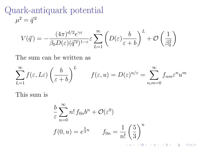Quark-antiquark potential  $\mu^2 = \vec{q}^{\,2}$ 

$$
V(\vec{q}) = -\frac{(4\pi)^{d/2}e^{\gamma \varepsilon}}{\beta_0 D(\varepsilon)(\vec{q}^2)^{1-\varepsilon}} \varepsilon \sum_{L=1}^{\infty} \left( D(\varepsilon) \frac{b}{\varepsilon+b} \right)^L + \mathcal{O}\left(\frac{1}{\beta_0^2}\right)
$$

The sum can be written as

$$
\sum_{L=1}^{\infty} f(\varepsilon, L\varepsilon) \left(\frac{b}{\varepsilon + b}\right)^L \qquad f(\varepsilon, u) = D(\varepsilon)^{u/\varepsilon} = \sum_{n,m=0}^{\infty} f_{nm} \varepsilon^n u^m
$$

This sum is

$$
\frac{b}{\varepsilon} \sum_{n=0}^{\infty} n! f_{0n} b^n + \mathcal{O}(\varepsilon^0)
$$
  

$$
f(0, u) = e^{\frac{5}{3}u} \qquad f_{0n} = \frac{1}{n!} \left(\frac{5}{3}\right)^n
$$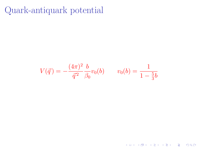Quark-antiquark potential

$$
V(\vec{q}) = -\frac{(4\pi)^2}{\vec{q}^2} \frac{b}{\beta_0} v_0(b) \qquad v_0(b) = \frac{1}{1 - \frac{5}{3}b}
$$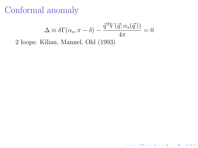$$
\Delta \equiv \delta \Gamma(\alpha_s, \pi - \delta) - \frac{\vec{q}^2 V(\vec{q}; \alpha_s(\vec{q}\,))}{4\pi} = 0
$$
2 loops: Kilian, Mannel, Ohl (1993)

K ロ ▶ K 레 ▶ K 코 ▶ K 코 ▶ 『코』 ◆ 9 Q @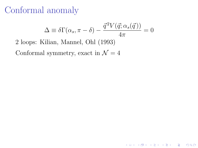$$
\Delta \equiv \delta \Gamma(\alpha_s, \pi - \delta) - \frac{\vec{q}^2 V(\vec{q}; \alpha_s(\vec{q}))}{4\pi} = 0
$$

K ロ ▶ K 個 ▶ K 할 ▶ K 할 ▶ 이 할 → 900

2 loops: Kilian, Mannel, Ohl (1993)

Conformal symmetry, exact in  $\mathcal{N}=4$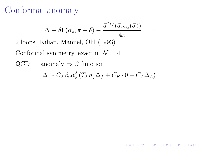$$
\Delta \equiv \delta \Gamma(\alpha_s, \pi - \delta) - \frac{\vec{q}^2 V(\vec{q}; \alpha_s(\vec{q}))}{4\pi} = 0
$$

2 loops: Kilian, Mannel, Ohl (1993)

Conformal symmetry, exact in  $\mathcal{N}=4$ 

 $QCD$  — anomaly  $\Rightarrow \beta$  function

$$
\Delta \sim C_F \beta_0 \alpha_s^3 \left( T_F n_f \Delta_f + C_F \cdot 0 + C_A \Delta_A \right)
$$

**K ロ ▶ K 레 ▶ K 코 ▶ K 코 ▶ 『코』 ◆ 9 Q OK**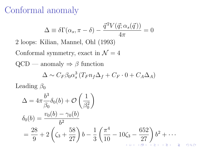<span id="page-29-0"></span>
$$
\Delta \equiv \delta \Gamma(\alpha_s, \pi - \delta) - \frac{\vec{q}^2 V(\vec{q}; \alpha_s(\vec{q}))}{4\pi} = 0
$$

2 loops: Kilian, Mannel, Ohl (1993)

Conformal symmetry, exact in  $\mathcal{N}=4$ 

 $QCD$  — anomaly  $\Rightarrow \beta$  function

$$
\Delta \sim C_F \beta_0 \alpha_s^3 \left( T_F n_f \Delta_f + C_F \cdot 0 + C_A \Delta_A \right)
$$

Leading  $\beta_0$ 

$$
\Delta = 4\pi \frac{b^3}{\beta_0} \delta_0(b) + \mathcal{O}\left(\frac{1}{\beta_0^2}\right)
$$
  
\n
$$
\delta_0(b) = \frac{v_0(b) - \gamma_0(b)}{b^2}
$$
  
\n
$$
= \frac{28}{9} + 2\left(\zeta_3 + \frac{58}{27}\right)b - \frac{1}{3}\left(\frac{\pi^4}{10} - 10\zeta_3 - \frac{652}{27}\right)b^2 + \cdots
$$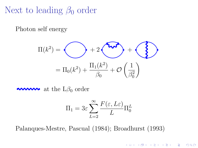## <span id="page-30-0"></span>Next to leading  $\beta_0$  order

Photon self energy

$$
\Pi(k^2) = \bigodot + 2 \underbrace{\bigodot}_{\Pi_0(k^2) + \Pi_1(k^2)} + \bigodot_{\Pi_0(k^2) + \mathcal{O}\left(\frac{1}{\beta_0^2}\right)}
$$

 $\sim$  at the L $\beta_0$  order

$$
\Pi_1 = 3\varepsilon \sum_{L=2}^{\infty} \frac{F(\varepsilon, L\varepsilon)}{L} \Pi_0^L
$$

**K ロ ▶ K 레 ▶ K 코 ▶ K 코 ▶ 『코』 ◆ 9 Q OK** 

Palanques-Mestre, Pascual (1984); Broadhurst (1993)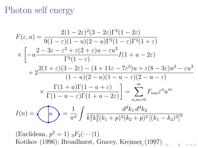#### <span id="page-31-0"></span>Photon self energy

$$
F(\varepsilon, u) = \frac{2(1 - 2\varepsilon)^2 (3 - 2\varepsilon) \Gamma^2 (1 - 2\varepsilon)}{9(1 - \varepsilon)(1 - u)(2 - u)\Gamma^2 (1 - \varepsilon) \Gamma^2 (1 + \varepsilon)}
$$
  

$$
\times \left[ -u \frac{2 - 3\varepsilon - \varepsilon^2 + \varepsilon (2 + \varepsilon)u - \varepsilon u^2}{\Gamma^2 (1 - \varepsilon)} I(1 + u - 2\varepsilon) + 2 \frac{2(1 + \varepsilon)(3 - 2\varepsilon) - (4 + 11\varepsilon - 7\varepsilon^2)u + \varepsilon (8 - 3\varepsilon)u^2 - \varepsilon u^3}{(1 - u)(2 - u)(1 - u - \varepsilon)(2 - u - \varepsilon)} \right]
$$
  

$$
\times \frac{\Gamma(1 + u)\Gamma(1 - u + \varepsilon)}{\Gamma(1 - u - \varepsilon)\Gamma(1 + u - 2\varepsilon)} = \sum_{n,m=0}^{\infty} F_{nm}\varepsilon^n u^m
$$
  

$$
I(n) = \bigodot n) = \frac{1}{\pi^d} \int \frac{d^d k_1 d^d k_2}{k_1^2 k_2^2 (k_1 + p)^2 (k_2 + p)^2 [(k_1 - k_2)^2]^n}
$$

(Euclidean,  $p^2 = 1$ )  $_3F_2(\cdots | 1)$ Kotikov (1996); Broadhurst, Gracey, [Kre](#page-30-0)i[m](#page-32-0)[e](#page-30-0)[r](#page-31-0) [\(1](#page-32-0)[9](#page-51-0)9[7](#page-52-0)[\)](#page-29-0)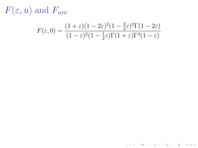<span id="page-32-0"></span> $F(\varepsilon, u)$  and  $F_{nm}$ 

$$
F(\varepsilon, 0) = \frac{(1+\varepsilon)(1-2\varepsilon)^2 (1-\frac{2}{3}\varepsilon)^2 \Gamma(1-2\varepsilon)}{(1-\varepsilon)^2 (1-\frac{1}{2}\varepsilon) \Gamma(1+\varepsilon) \Gamma^3(1-\varepsilon)}
$$

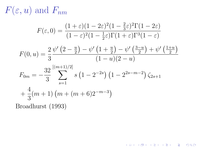$F(\varepsilon, u)$  and  $F_{nm}$ 

$$
F(\varepsilon, 0) = \frac{(1+\varepsilon)(1-2\varepsilon)^2(1-\frac{2}{3}\varepsilon)^2\Gamma(1-2\varepsilon)}{(1-\varepsilon)^2(1-\frac{1}{2}\varepsilon)\Gamma(1+\varepsilon)\Gamma^3(1-\varepsilon)}
$$

$$
F(0, u) = \frac{2}{3} \frac{\psi'(2 - \frac{u}{2}) - \psi'(1 + \frac{u}{2}) - \psi'\left(\frac{3 - u}{2}\right) + \psi'\left(\frac{1 + u}{2}\right)}{(1 - u)(2 - u)}
$$

K □ ▶ K @ ▶ K 할 ▶ K 할 ▶ 이 할 → 9 Q @

$$
F_{0m} = -\frac{32}{3} \sum_{s=1}^{\left[(m+1)/2\right]} s \left(1 - 2^{-2s}\right) \left(1 - 2^{2s - m - 2}\right) \zeta_{2s+1}
$$

$$
+ \frac{4}{3} (m+1) \left(m + (m+6)2^{-m-3}\right)
$$

Broadhurst (1993)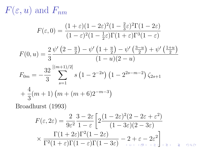$F(\varepsilon, u)$  and  $F_{nm}$ 

$$
F(\varepsilon, 0) = \frac{(1+\varepsilon)(1-2\varepsilon)^2(1-\frac{2}{3}\varepsilon)^2\Gamma(1-2\varepsilon)}{(1-\varepsilon)^2(1-\frac{1}{2}\varepsilon)\Gamma(1+\varepsilon)\Gamma^3(1-\varepsilon)}
$$

$$
F(0, u) = \frac{2}{3} \frac{\psi'(2 - \frac{u}{2}) - \psi'(1 + \frac{u}{2}) - \psi'(3 - u)}{(1 - u)(2 - u)}
$$

$$
F_{0m} = -\frac{32}{3} \sum_{s=1}^{\left[(m+1)/2\right]} s \left(1 - 2^{-2s}\right) \left(1 - 2^{2s - m - 2}\right) \zeta_{2s+1}
$$

$$
+ \frac{4}{3} (m+1) \left(m + (m+6)2^{-m-3}\right)
$$

Broadhurst (1993)

$$
F(\varepsilon, 2\varepsilon) = \frac{2}{9\varepsilon^2} \frac{3 - 2\varepsilon}{1 - \varepsilon} \left[ 2 \frac{(1 - 2\varepsilon)^2 (2 - 2\varepsilon + \varepsilon^2)}{(1 - 3\varepsilon)(2 - 3\varepsilon)} \right]
$$
  
 
$$
\times \frac{\Gamma(1 + 2\varepsilon)\Gamma^2(1 - 2\varepsilon)}{\Gamma^2(1 + \varepsilon)\Gamma(1 - \varepsilon)\Gamma(1 - 3\varepsilon)} - 2 + \varepsilon - 2\varepsilon^2
$$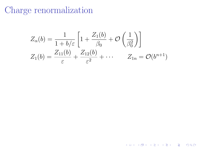$$
Z_{\alpha}(b) = \frac{1}{1+b/\varepsilon} \left[ 1 + \frac{Z_1(b)}{\beta_0} + \mathcal{O}\left(\frac{1}{\beta_0^2}\right) \right]
$$
  

$$
Z_1(b) = \frac{Z_{11}(b)}{\varepsilon} + \frac{Z_{12}(b)}{\varepsilon^2} + \cdots \qquad Z_{1n} = \mathcal{O}(b^{n+1})
$$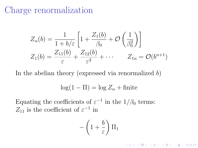$$
Z_{\alpha}(b) = \frac{1}{1+b/\varepsilon} \left[ 1 + \frac{Z_1(b)}{\beta_0} + \mathcal{O}\left(\frac{1}{\beta_0^2}\right) \right]
$$
  

$$
Z_1(b) = \frac{Z_{11}(b)}{\varepsilon} + \frac{Z_{12}(b)}{\varepsilon^2} + \cdots \qquad Z_{1n} = \mathcal{O}(b^{n+1})
$$

In the abelian theory (expressed via renormalized  $b$ )

$$
\log(1 - \Pi) = \log Z_{\alpha} + \text{finite}
$$

Equating the coefficients of  $\varepsilon^{-1}$  in the  $1/\beta_0$  terms:  $Z_{11}$  is the coefficient of  $\varepsilon^{-1}$  in

$$
-\left(1+\frac{b}{\varepsilon}\right)\Pi_1
$$

**K ロ ▶ K 레 ▶ K 코 ▶ K 코 ▶ 『코』 ◆ 9 Q OK**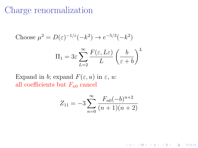Choose 
$$
\mu^2 = D(\varepsilon)^{-1/\varepsilon}(-k^2) \to e^{-5/3}(-k^2)
$$

$$
\Pi_1 = 3\varepsilon \sum_{L=2}^{\infty} \frac{F(\varepsilon, L\varepsilon)}{L} \left(\frac{b}{\varepsilon + b}\right)^L
$$

Expand in b; expand  $F(\varepsilon, u)$  in  $\varepsilon, u$ : all coefficients but  $F_{n0}$  cancel

$$
Z_{11} = -3\sum_{n=0}^{\infty} \frac{F_{n0}(-b)^{n+2}}{(n+1)(n+2)}
$$

K ロ ▶ K 個 ▶ K 할 ▶ K 할 ▶ 이 할 → 900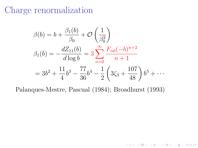$$
\beta(b) = b + \frac{\beta_1(b)}{\beta_0} + \mathcal{O}\left(\frac{1}{\beta_0^2}\right)
$$
  

$$
\beta_1(b) = -\frac{dZ_{11}(b)}{d\log b} = 3\sum_{n=0}^{\infty} \frac{F_{n0}(-b)^{n+2}}{n+1}
$$
  

$$
= 3b^2 + \frac{11}{4}b^3 - \frac{77}{36}b^4 - \frac{1}{2}\left(3\zeta_3 + \frac{107}{48}\right)b^5 + \cdots
$$

K □ ▶ K @ ▶ K 할 X K 할 X 1 할 X 1 9 Q Q \*

Palanques-Mestre, Pascual (1984); Broadhurst (1993)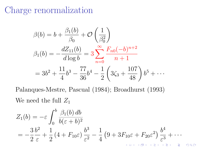$$
\beta(b) = b + \frac{\beta_1(b)}{\beta_0} + \mathcal{O}\left(\frac{1}{\beta_0^2}\right)
$$
  

$$
\beta_1(b) = -\frac{dZ_{11}(b)}{d\log b} = 3\sum_{n=0}^{\infty} \frac{F_{n0}(-b)^{n+2}}{n+1}
$$
  

$$
= 3b^2 + \frac{11}{4}b^3 - \frac{77}{36}b^4 - \frac{1}{2}\left(3\zeta_3 + \frac{107}{48}\right)b^5 + \cdots
$$

Palanques-Mestre, Pascual (1984); Broadhurst (1993) We need the full  $Z_1$ 

$$
Z_1(b) = -\varepsilon \int_0^b \frac{\beta_1(b) db}{b(\varepsilon + b)^2}
$$
  
=  $-\frac{3}{2} \frac{b^2}{\varepsilon} + \frac{1}{2} (4 + F_{10} \varepsilon) \frac{b^3}{\varepsilon^2} - \frac{1}{4} (9 + 3F_{10} \varepsilon + F_{20} \varepsilon^2) \frac{b^4}{\varepsilon^3} + \cdots$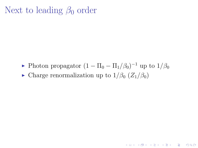## Next to leading  $\beta_0$  order

► Photon propagator  $(1 - \Pi_0 - \Pi_1/\beta_0)^{-1}$  up to  $1/\beta_0$ 

**K ロ ▶ K 레 ▶ K 코 ▶ K 코 ▶ 『코』 ◆ 9 Q OK** 

• Charge renormalization up to  $1/\beta_0$  ( $Z_1/\beta_0$ )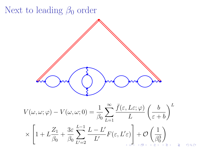

 $290$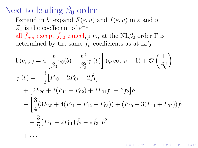## Next to leading  $\beta_0$  order

Expand in b; expand  $F(\varepsilon, u)$  and  $f(\varepsilon, u)$  in  $\varepsilon$  and u  $Z_1$  is the coefficient of  $\varepsilon^{-1}$ all  $f_{nm}$  except  $f_{n0}$  cancel, i.e., at the NL $\beta_0$  order  $\Gamma$  is

determined by the same  $\hat{f}_n$  coefficients as at  $L\beta_0$ 

$$
\Gamma(b; \varphi) = 4 \left[ \frac{b}{\beta_0} \gamma_0(b) - \frac{b^3}{\beta_0^2} \gamma_1(b) \right] (\varphi \cot \varphi - 1) + \mathcal{O}\left(\frac{1}{\beta_0^3}\right)
$$
  
\n
$$
\gamma_1(b) = -\frac{3}{2} \left[ F_{10} + 2F_{01} - 2\hat{f}_1 \right]
$$
  
\n
$$
+ \left[ 2F_{20} + 3(F_{11} + F_{02}) + 3F_{01}\hat{f}_1 - 6\hat{f}_2 \right] b
$$
  
\n
$$
- \left[ \frac{3}{4} (3F_{30} + 4(F_{21} + F_{12} + F_{03})) + (F_{20} + 3(F_{11} + F_{02})) \hat{f}_1 \right.
$$
  
\n
$$
- \frac{3}{2} (F_{10} - 2F_{01}) \hat{f}_2 - 9 \hat{f}_3 \right] b^2
$$
  
\n
$$
+ \cdots
$$

K ロ ▶ K 레 ▶ K 코 ▶ K 코 ▶ 『코』 ◆ 9 Q Q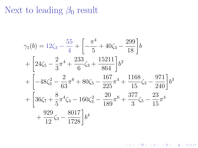# Next to leading  $\beta_0$  result

$$
\gamma_1(b) = 12\zeta_3 - \frac{55}{4} + \left[ -\frac{\pi^4}{5} + 40\zeta_3 - \frac{299}{18} \right] b
$$
  
+ 
$$
\left[ 24\zeta_5 - \frac{2}{3}\pi^4 + \frac{233}{6}\zeta_3 + \frac{15211}{864} \right] b^2
$$
  
+ 
$$
\left[ -48\zeta_3^2 - \frac{2}{63}\pi^6 + 80\zeta_5 - \frac{167}{225}\pi^4 + \frac{1168}{15}\zeta_3 - \frac{971}{240} \right] b^3
$$
  
+ 
$$
\left[ 36\zeta_7 + \frac{8}{5}\pi^4\zeta_3 - 160\zeta_3^2 - \frac{20}{189}\pi^6 + \frac{377}{3}\zeta_5 - \frac{23}{15}\pi^4 + \frac{929}{12}\zeta_3 - \frac{8017}{1728} \right] b^4
$$

K ロ ▶ K 御 ▶ K 할 ▶ K 할 ▶ ① 할 → ① 의 ①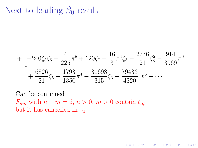## Next to leading  $\beta_0$  result

$$
+\left[-240\zeta_3\zeta_5-\frac{4}{225}\pi^8+120\zeta_7+\frac{16}{3}\pi^4\zeta_3-\frac{2776}{21}\zeta_3^2-\frac{914}{3969}\pi^6\right] +\frac{6826}{21}\zeta_5-\frac{1793}{1350}\pi^4-\frac{31693}{315}\zeta_3+\frac{79433}{4320}\right]b^5+\cdots
$$

K ロ ▶ K 個 ▶ K 할 ▶ K 할 ▶ 이 할 → 900

Can be continued  $F_{nm}$  with  $n + m = 6$ ,  $n > 0$ ,  $m > 0$  contain  $\zeta_{5,3}$ but it has cancelled in  $\gamma_1$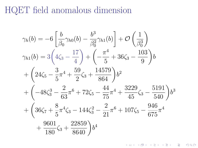#### HQET field anomalous dimension

$$
\gamma_h(b) = -6\left[\frac{b}{\beta_0}\gamma_{h0}(b) - \frac{b^3}{\beta_0^2}\gamma_{h1}(b)\right] + \mathcal{O}\left(\frac{1}{\beta_0^3}\right)
$$
  
\n
$$
\gamma_{h1}(b) = 3\left(4\zeta_3 - \frac{17}{4}\right) + \left(-\frac{\pi^4}{5} + 36\zeta_3 - \frac{103}{9}\right)b
$$
  
\n
$$
+ \left(24\zeta_5 - \frac{3}{5}\pi^4 + \frac{59}{2}\zeta_3 + \frac{14579}{864}\right)b^2
$$
  
\n
$$
+ \left(-48\zeta_3^3 - \frac{2}{63}\pi^6 + 72\zeta_5 - \frac{44}{75}\pi^4 + \frac{3229}{45}\zeta_3 - \frac{5191}{540}\right)b^3
$$
  
\n
$$
+ \left(36\zeta_7 + \frac{8}{5}\pi^4\zeta_3 - 144\zeta_3^2 - \frac{2}{21}\pi^6 + 107\zeta_5 - \frac{946}{675}\pi^4 + \frac{9601}{180}\zeta_3 + \frac{22859}{8640}\right)b^4
$$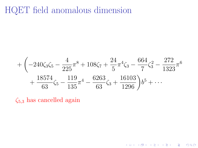## HQET field anomalous dimension

$$
+\left(-240\zeta_3\zeta_5-\frac{4}{225}\pi^8+108\zeta_7+\frac{24}{5}\pi^4\zeta_3-\frac{664}{7}\zeta_3^2-\frac{272}{1323}\pi^6\right) +\frac{18574}{63}\zeta_5-\frac{119}{135}\pi^4-\frac{6263}{63}\zeta_3+\frac{16103}{1296}\right)b^5+\cdots
$$

K □ ▶ K @ ▶ K 할 X K 할 X 1 할 X 1 9 Q Q \*

 $\zeta_{5,3}$  has cancelled again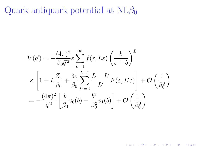Quark-antiquark potential at  $NL\beta_0$ 

$$
V(\vec{q}) = -\frac{(4\pi)^2}{\beta_0 \vec{q}^2} \varepsilon \sum_{L=1}^{\infty} f(\varepsilon, L\varepsilon) \left(\frac{b}{\varepsilon + b}\right)^L
$$
  
 
$$
\times \left[1 + L\frac{Z_1}{\beta_0} + \frac{3\varepsilon}{\beta_0} \sum_{L'=2}^{L-1} \frac{L-L'}{L'} F(\varepsilon, L'\varepsilon)\right] + \mathcal{O}\left(\frac{1}{\beta_0^3}\right)
$$
  
= 
$$
-\frac{(4\pi)^2}{\vec{q}^2} \left[\frac{b}{\beta_0} v_0(b) - \frac{b^3}{\beta_0^2} v_1(b)\right] + \mathcal{O}\left(\frac{1}{\beta_0^3}\right)
$$

K □ ▶ K @ ▶ K 할 X X 할 X 1 할 X 1 9 Q Q ^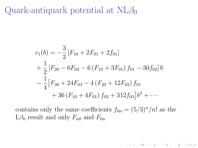Quark-antiquark potential at  $NL\beta_0$ 

$$
v_1(b) = -\frac{3}{2} [F_{10} + 2F_{01} + 2f_{01}]
$$
  
+  $\frac{1}{2} [F_{20} - 6F_{02} - 6(F_{10} + 3F_{01}) f_{01} - 30f_{02}] b$   
-  $\frac{1}{4} [F_{30} + 24F_{03} - 4(F_{20} + 12F_{02}) f_{01}$   
+ 36 (F<sub>10</sub> + 4F<sub>01</sub>) f<sub>02</sub> + 312f<sub>03</sub>] b<sup>2</sup> + ...

contains only the same coefficients  $f_{0n} = (5/3)^n/n!$  as the  $L\beta_0$  result and only  $F_{n0}$  and  $F_{0n}$ 

K ロ ▶ K 個 ▶ K 할 ▶ K 할 ▶ 이 할 → 900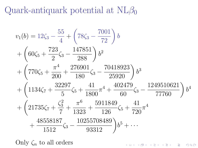Quark-antiquark potential at  $NL\beta_0$ 

$$
v_1(b) = 12\zeta_3 - \frac{55}{4} + \left(78\zeta_3 - \frac{7001}{72}\right)b
$$
  
+  $\left(60\zeta_5 + \frac{723}{2}\zeta_3 - \frac{147851}{288}\right)b^2$   
+  $\left(770\zeta_5 + \frac{\pi^4}{200} + \frac{276901}{180}\zeta_3 - \frac{70418923}{25920}\right)b^3$   
+  $\left(1134\zeta_7 + \frac{32297}{5}\zeta_5 + \frac{41}{1800}\pi^4 + \frac{402479}{60}\zeta_3 - \frac{1249510621}{77760}\right)b^4$   
+  $\left(21735\zeta_7 + \frac{\zeta_3^2}{7} + \frac{\pi^6}{1323} + \frac{5911849}{126}\zeta_5 + \frac{41}{720}\pi^4$   
+  $\frac{48558187}{1512}\zeta_3 - \frac{10255708489}{93312}\right)b^5 + \cdots$ 

Only  $\zeta_n$  to all orders

K □ ▶ K @ ▶ K 할 ▶ K 할 ▶ 이 할 → 9 Q Q ·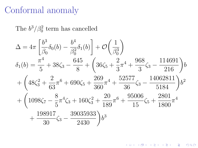The  $b^3/\beta_0^2$  term has cancelled

$$
\Delta = 4\pi \left[ \frac{b^3}{\beta_0} \delta_0(b) - \frac{b^4}{\beta_0^2} \delta_1(b) \right] + \mathcal{O}\left(\frac{1}{\beta_0^3}\right)
$$
  
\n
$$
\delta_1(b) = \frac{\pi^4}{5} + 38\zeta_3 - \frac{645}{8} + \left(36\zeta_5 + \frac{2}{3}\pi^4 + \frac{968}{3}\zeta_3 - \frac{114691}{216}\right)b
$$
  
\n
$$
+ \left(48\zeta_3^2 + \frac{2}{63}\pi^6 + 690\zeta_5 + \frac{269}{360}\pi^4 + \frac{52577}{36}\zeta_3 - \frac{14062811}{5184}\right)b^2
$$
  
\n
$$
+ \left(1098\zeta_7 - \frac{8}{5}\pi^4\zeta_3 + 160\zeta_3^2 + \frac{20}{189}\pi^6 + \frac{95006}{15}\zeta_5 + \frac{2801}{1800}\pi^4 + \frac{198917}{30}\zeta_3 - \frac{39035933}{2430}\right)b^3
$$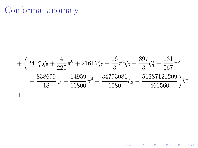<span id="page-51-0"></span>
$$
+\left(240\zeta_3\zeta_5+\frac{4}{225}\pi^8+21615\zeta_7-\frac{16}{3}\pi^4\zeta_3+\frac{397}{3}\zeta_3^2+\frac{131}{567}\pi^6+\frac{838699}{18}\zeta_5+\frac{14959}{10800}\pi^4+\frac{34793081}{1080}\zeta_3-\frac{51287121209}{466560}\right)b^4+\cdots
$$

K ロ X (日) X 제공 X 제공 X 1 공 : X 9 Q Q 0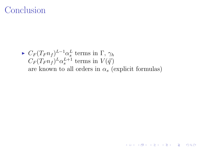## <span id="page-52-0"></span>Conclusion

 $\blacktriangleright C_F (T_F n_f)^{L-1} \alpha_s^L$  terms in  $\Gamma$ ,  $\gamma_h$  $C_F(T_F n_f)^L \alpha_s^{L+1}$  terms in  $V(\vec{q})$ are known to all orders in  $\alpha_s$  (explicit formulas)

**K ロ ▶ K 레 ▶ K 코 ▶ K 코 ▶ 『코』 ◆ 9 Q OK**